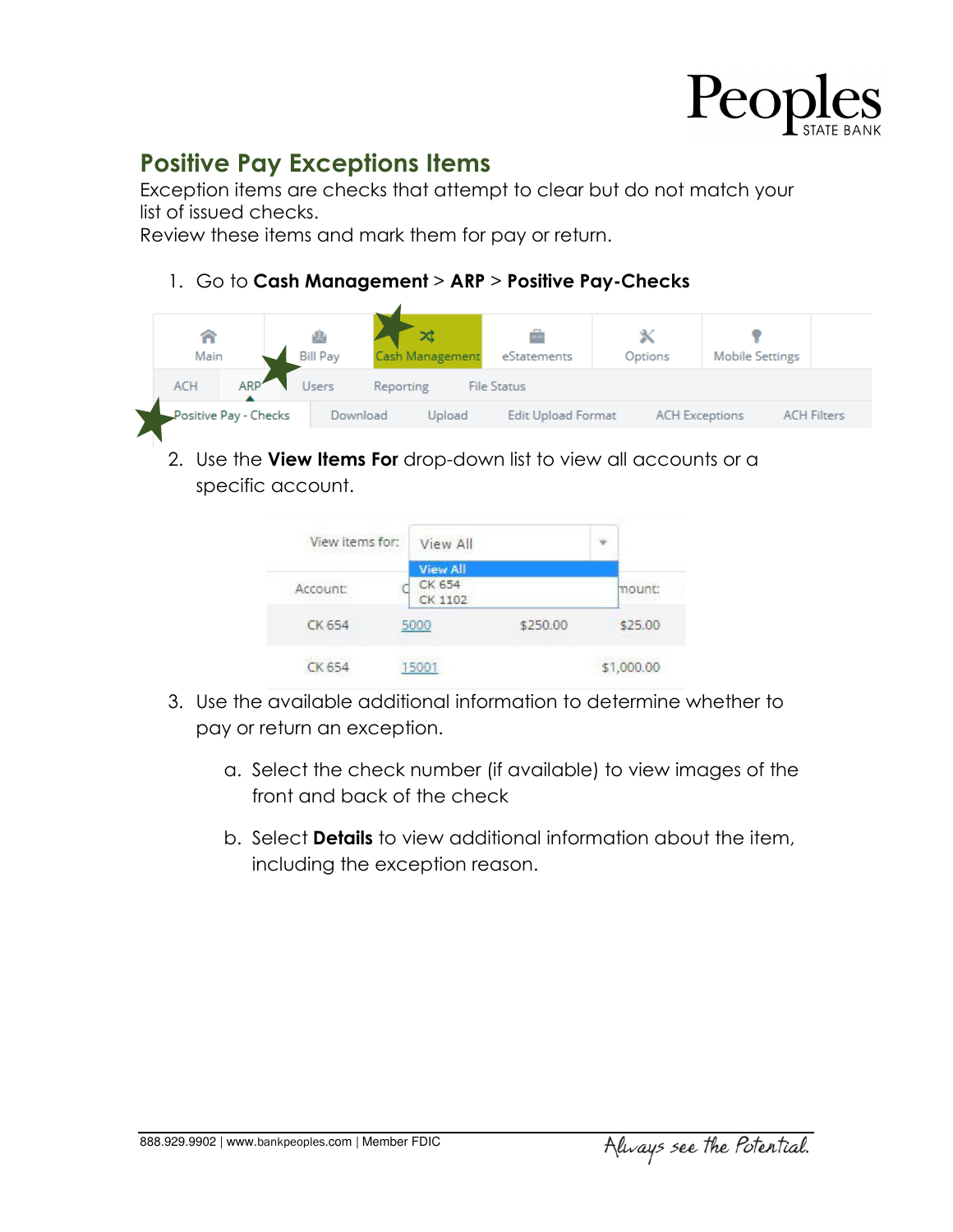

## **Positive Pay Exceptions Items**

Exception items are checks that attempt to clear but do not match your list of issued checks.

Review these items and mark them for pay or return.

## 1. Go to **Cash Management** > **ARP** > **Positive Pay-Checks**



2. Use the **View Items For** drop-down list to view all accounts or a specific account.

| View items for: | View All          |          |            |  |
|-----------------|-------------------|----------|------------|--|
|                 | View All          |          |            |  |
| Account:        | CK 654<br>CK 1102 |          | mount:     |  |
| CK 654          | 5000              | \$250.00 | \$25.00    |  |
| CK 654          | 15001             |          | \$1,000.00 |  |

- 3. Use the available additional information to determine whether to pay or return an exception.
	- a. Select the check number (if available) to view images of the front and back of the check
	- b. Select **Details** to view additional information about the item, including the exception reason.

888.929.9902 | www.bankpeoples.com | Member FDIC